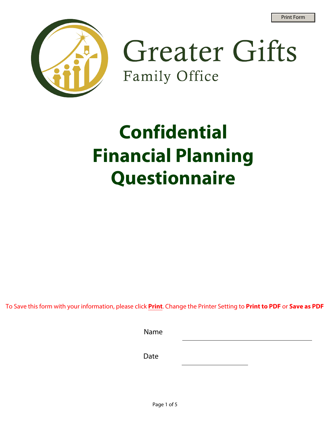

**Greater Gifts** Family Office

# **Confidential Financial Planning Questionnaire**

To Save this form with your information, please click **Print**. Change the Printer Setting to **Print to PDF** or **Save as PDF**

| Name          |  |  |
|---------------|--|--|
| $\sim$ $\sim$ |  |  |

Date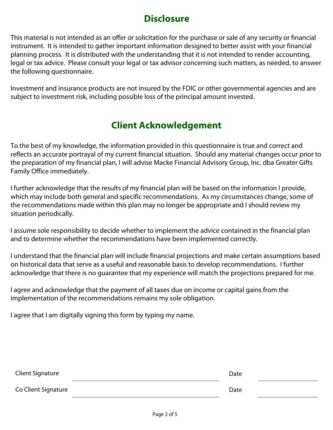## **Disclosure**

This material is not intended as an offer or solicitation for the purchase or sale of any security or financial instrument. It is intended to gather important information designed to better assist with your financial planning process. It is distributed with the understanding that it is not intended to render accounting, legal or tax advice. Please consult your legal or tax advisor concerning such matters, as needed, to answer the following questionnaire.

Investment and insurance products are not insured by the FDIC or other governmental agencies and are subject to investment risk, including possible loss of the principal amount invested.

# **Client Acknowledgement**

To the best of my knowledge, the information provided in this questionnaire is true and correct and reflects an accurate portrayal of my current financial situation. Should any material changes occur prior to the preparation of my financial plan, I will advise Macke Financial Advisory Group, Inc. dba Greater Gifts Family Office immediately.

I further acknowledge that the results of my financial plan will be based on the information I provide, which may include both general and specific recommendations. As my circumstances change, some of the recommendations made within this plan may no longer be appropriate and I should review my situation periodically.

I assume sole responsibility to decide whether to implement the advice contained in the financial plan and to determine whether the recommendations have been implemented correctly.

I understand that the financial plan will include financial projections and make certain assumptions based on historical data that serve as a useful and reasonable basis to develop recommendations. I further acknowledge that there is no guarantee that my experience will match the projections prepared for me.

I agree and acknowledge that the payment of all taxes due on income or capital gains from the implementation of the recommendations remains my sole obligation.

I agree that I am digitally signing this form by typing my name.

| Client Signature    | Date |  |
|---------------------|------|--|
| Co Client Signature | Date |  |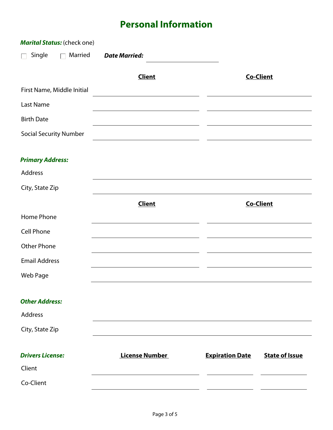# **Personal Information**

|                               | <b>Marital Status:</b> (check one) |                       |                        |                       |
|-------------------------------|------------------------------------|-----------------------|------------------------|-----------------------|
| Single<br>$\mathbf{L}$        | Married<br>$\Box$                  | <b>Date Married:</b>  |                        |                       |
|                               |                                    | <b>Client</b>         |                        | <b>Co-Client</b>      |
| First Name, Middle Initial    |                                    |                       |                        |                       |
| Last Name                     |                                    |                       |                        |                       |
| <b>Birth Date</b>             |                                    |                       |                        |                       |
| <b>Social Security Number</b> |                                    |                       |                        |                       |
| <b>Primary Address:</b>       |                                    |                       |                        |                       |
| Address                       |                                    |                       |                        |                       |
| City, State Zip               |                                    |                       |                        |                       |
|                               |                                    | <b>Client</b>         |                        | <b>Co-Client</b>      |
| Home Phone                    |                                    |                       |                        |                       |
| <b>Cell Phone</b>             |                                    |                       |                        |                       |
| <b>Other Phone</b>            |                                    |                       |                        |                       |
| <b>Email Address</b>          |                                    |                       |                        |                       |
| Web Page                      |                                    |                       |                        |                       |
| <b>Other Address:</b>         |                                    |                       |                        |                       |
| <b>Address</b>                |                                    |                       |                        |                       |
| City, State Zip               |                                    |                       |                        |                       |
| <b>Drivers License:</b>       |                                    | <b>License Number</b> | <b>Expiration Date</b> | <b>State of Issue</b> |
| Client                        |                                    |                       |                        |                       |
| Co-Client                     |                                    |                       |                        |                       |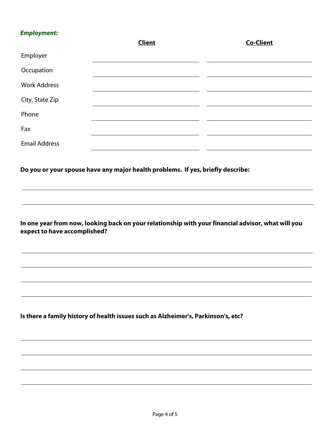## *Employment:*

| <i><b>Employment:</b></i>    | <b>Client</b>                                                                                      | <b>Co-Client</b> |
|------------------------------|----------------------------------------------------------------------------------------------------|------------------|
| Employer                     |                                                                                                    |                  |
| Occupation                   |                                                                                                    |                  |
| <b>Work Address</b>          |                                                                                                    |                  |
| City, State Zip              |                                                                                                    |                  |
| Phone                        |                                                                                                    |                  |
| Fax                          |                                                                                                    |                  |
| <b>Email Address</b>         |                                                                                                    |                  |
| expect to have accomplished? | In one year from now, looking back on your relationship with your financial advisor, what will you |                  |
|                              | Is there a family history of health issues such as Alzheimer's, Parkinson's, etc?                  |                  |
|                              |                                                                                                    |                  |